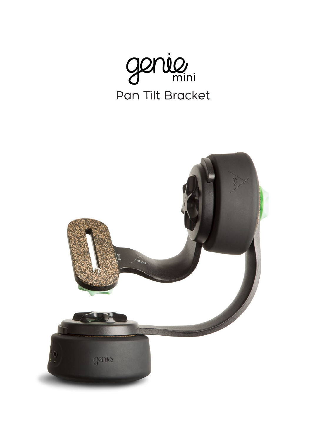

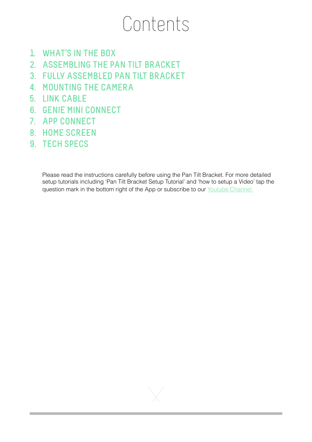# Contents

- **1. WHAT'S IN THE BOX**
- **2. ASSEMBLING THE PAN TILT BRACKET**
- **3. FULLY ASSEMBLED PAN TILT BRACKET**
- **4. MOUNTING THE CAMERA**
- **5. LINK CABLE**
- **6. GENIE MINI CONNECT**
- **7. APP CONNECT**
- **8. HOME SCREEN**
- **9. TECH SPECS**

Please read the instructions carefully before using the Pan Tilt Bracket. For more detailed setup tutorials including 'Pan Tilt Bracket Setup Tutorial' and 'how to setup a Video' tap the question mark in the bottom right of the App or subscribe to our [Youtube Channel](http://youtube.com/c/syrp).

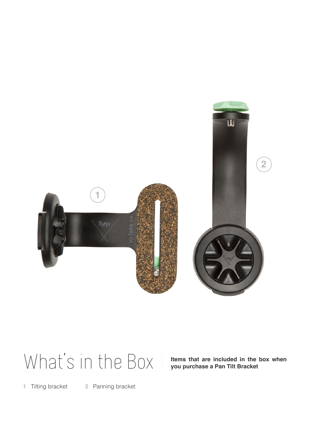

# What's in the Box I wens that are included in the vou purchase a Pan Tilt Bracket

**Items that are included in the box when** 

**1** Tilting bracket **2** Panning bracket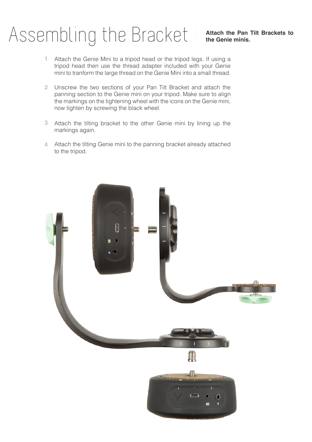# Assembling the Bracket | Attach the Pan Tilt Brackets to

- Attach the Genie Mini to a tripod head or the tripod legs. If using a tripod head then use the thread adapter included with your Genie mini to tranform the large thread on the Genie Mini into a small thread. **1**
- Unscrew the two sections of your Pan Tilt Bracket and attach the **2** panning section to the Genie mini on your tripod. Make sure to align the markings on the tightening wheel with the icons on the Genie mini, now tighten by screwing the black wheel.
- Attach the tilting bracket to the other Genie mini by lining up the **3** markings again.
- Attach the tilting Genie mini to the panning bracket already attached **4**to the tripod.

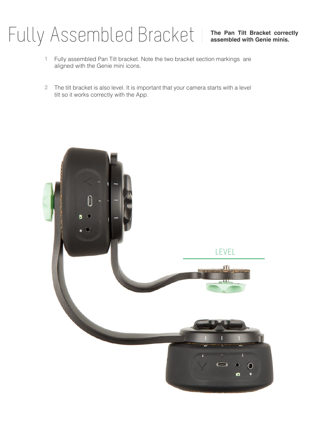# **The Pan Tilt Bracket correctly** Fully Assembled Bracket **assembled with Genie minis.**

- Fully assembled Pan Tilt bracket. Note the two bracket section markings are aligned with the Genie mini icons. **1**
- The tilt bracket is also level. It is important that your camera starts with a level **2** tilt so it works correctly with the App.

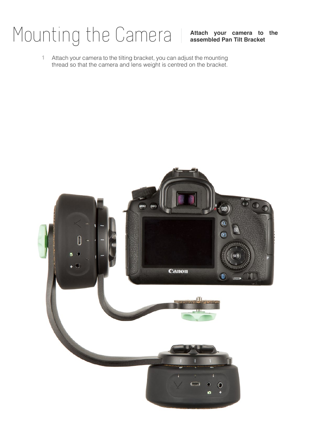# **Attach your camera to the** Mounting the Camera **assembled Pan Tilt Bracket**

Attach your camera to the tilting bracket, you can adjust the mounting thread so that the camera and lens weight is centred on the bracket. **1**

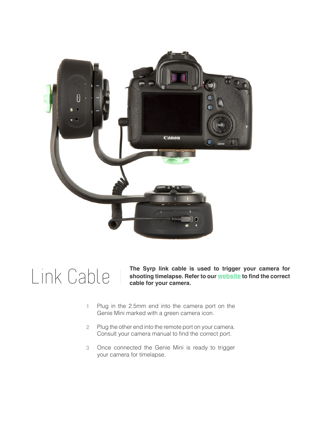

# Link Cable

**The Syrp link cable is used to trigger your camera for shooting timelapse. Refer to our [website](https://syrp.co.nz/product/accessories/link-cable) to find the correct cable for your camera.**

- **1** Plug in the 2.5mm end into the camera port on the Genie Mini marked with a green camera icon.
- **2** Plug the other end into the remote port on your camera. Consult your camera manual to find the correct port.
- **3** Once connected the Genie Mini is ready to trigger your camera for timelapse.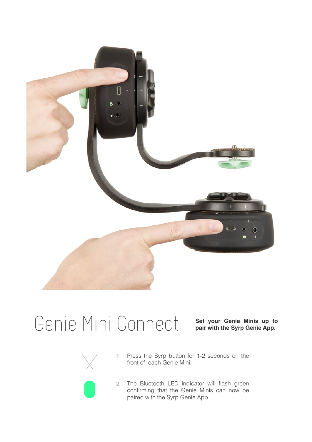

#### Genie Mini Connect | Set your Genie Minis up to

**Set your Genie Minis up to** 



- **1** Press the Syrp button for 1-2 seconds on the front of each Genie Mini.
- **2** The Bluetooth LED indicator will flash green confirming that the Genie Minis can now be paired with the Syrp Genie App.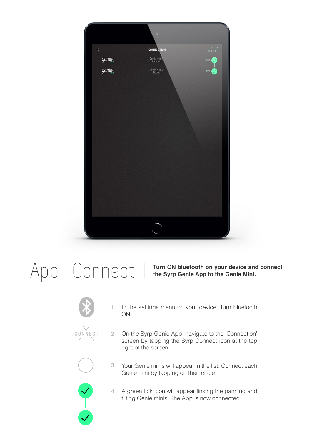

#### $\bigcap_{i=1}^n\bigcap_{i=1}^n\bigcap_{i=1}^n\bigcap_{i=1}^n\bigcap_{i=1}^n\bigcap_{i=1}^n\bigcap_{i=1}^n\bigcup_{i=1}^n\bigcap_{i=1}^n\bigcap_{i=1}^n\bigcap_{i=1}^n\bigcap_{i=1}^n\bigcap_{i=1}^n\bigcap_{i=1}^n\bigcap_{i=1}^n\bigcap_{i=1}^n\bigcap_{i=1}^n\bigcap_{i=1}^n\bigcap_{i=1}^n\bigcap_{i=1}^n\bigcap_{i=1}^n\bigcap_{i=1}^n$



**CONNECT**

- ON.
	- On the Syrp Genie App, navigate to the 'Connection' **2** screen by tapping the Syrp Connect icon at the top right of the screen.

In the settings menu on your device, Turn bluetooth **1**



- Your Genie minis will appear in the list. Connect each Genie mini by tapping on their circle. **3**
- A green tick icon will appear linking the panning and tilting Genie minis. The App is now connected. **4**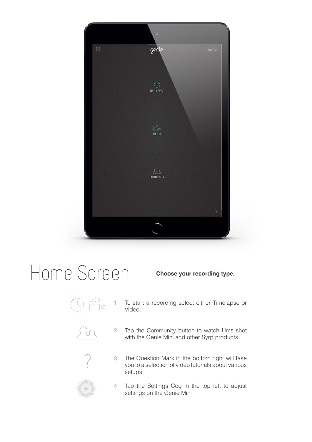

### Home Screen

**1**

Video.



To start a recording select either Timelapse or

**Choose your recording type.**

**2** Tap the Community button to watch films shot with the Genie Mini and other Syrp products.



**3** The Question Mark in the bottom right will take you to a selection of video tutorials about various setups.



**4** Tap the Settings Cog in the top left to adjust settings on the Genie Mini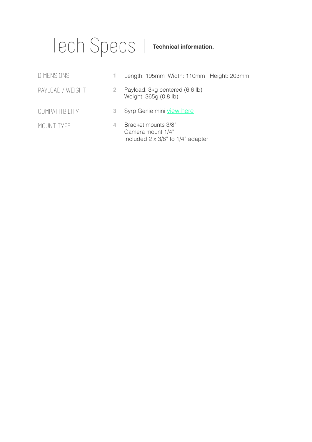#### Tech Specs

#### **Technical information.**

| <b>DIMENSIONS</b> | 1.                    | Length: 195mm Width: 110mm Height: 203mm                                                 |
|-------------------|-----------------------|------------------------------------------------------------------------------------------|
| PAYLOAD / WEIGHT  | $\mathbf{2}^{\prime}$ | Payload: 3kg centered (6.6 lb)<br>Weight: 365g (0.8 lb)                                  |
| COMPATITBILITY    | З                     | Syrp Genie mini view here                                                                |
| MOUNT TYPE        | 4                     | Bracket mounts 3/8"<br>Camera mount 1/4"<br>Included $2 \times 3/8$ " to $1/4$ " adapter |